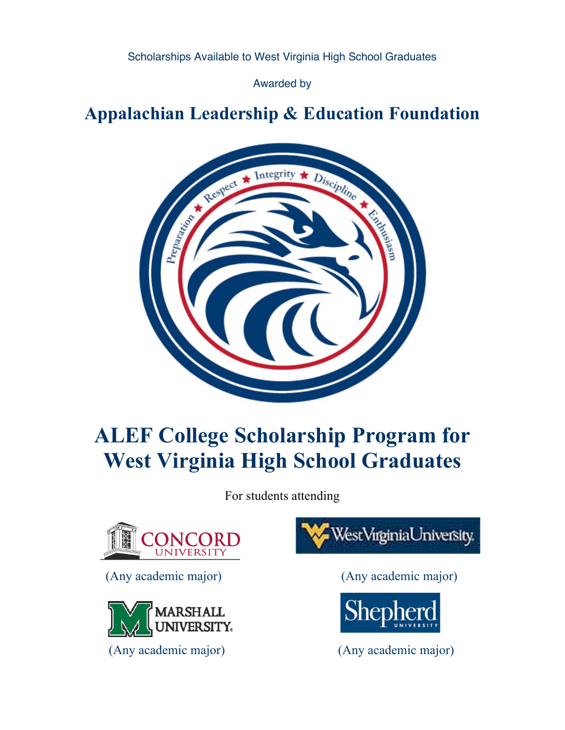Scholarships Available to West Virginia High School Graduates

Awarded by

# **Appalachian Leadership & Education Foundation**



# **ALEF College Scholarship Program for West Virginia High School Graduates**

For students attending



(Any academic major) (Any academic major)



(Any academic major) (Any academic major)



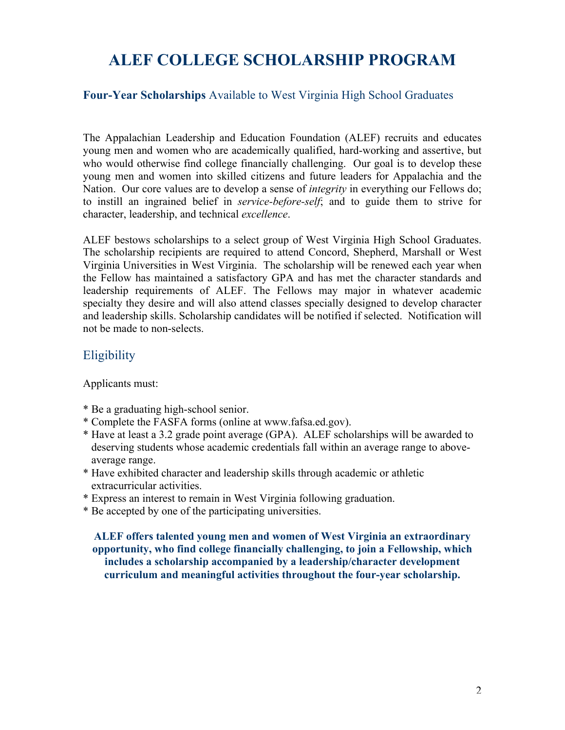# **ALEF COLLEGE SCHOLARSHIP PROGRAM**

#### **Four-Year Scholarships** Available to West Virginia High School Graduates

The Appalachian Leadership and Education Foundation (ALEF) recruits and educates young men and women who are academically qualified, hard-working and assertive, but who would otherwise find college financially challenging. Our goal is to develop these young men and women into skilled citizens and future leaders for Appalachia and the Nation. Our core values are to develop a sense of *integrity* in everything our Fellows do; to instill an ingrained belief in *service-before-self*; and to guide them to strive for character, leadership, and technical *excellence*.

ALEF bestows scholarships to a select group of West Virginia High School Graduates. The scholarship recipients are required to attend Concord, Shepherd, Marshall or West Virginia Universities in West Virginia. The scholarship will be renewed each year when the Fellow has maintained a satisfactory GPA and has met the character standards and leadership requirements of ALEF. The Fellows may major in whatever academic specialty they desire and will also attend classes specially designed to develop character and leadership skills. Scholarship candidates will be notified if selected. Notification will not be made to non-selects.

#### **Eligibility**

Applicants must:

- \* Be a graduating high-school senior.
- \* Complete the FASFA forms (online at www.fafsa.ed.gov).
- \* Have at least a 3.2 grade point average (GPA). ALEF scholarships will be awarded to deserving students whose academic credentials fall within an average range to above average range.
- \* Have exhibited character and leadership skills through academic or athletic extracurricular activities.
- \* Express an interest to remain in West Virginia following graduation.
- \* Be accepted by one of the participating universities.

**ALEF offers talented young men and women of West Virginia an extraordinary opportunity, who find college financially challenging, to join a Fellowship, which includes a scholarship accompanied by a leadership/character development curriculum and meaningful activities throughout the four-year scholarship.**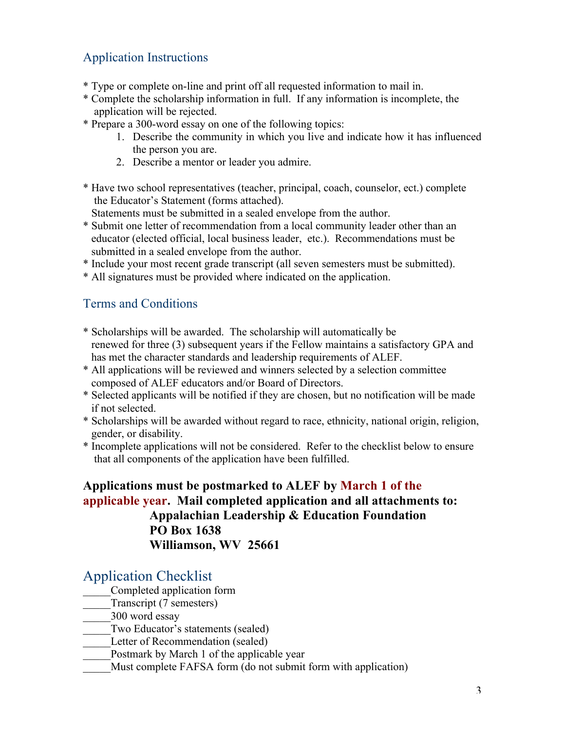# Application Instructions

- \* Type or complete on-line and print off all requested information to mail in.
- \* Complete the scholarship information in full. If any information is incomplete, the application will be rejected.
- \* Prepare a 300-word essay on one of the following topics:
	- 1. Describe the community in which you live and indicate how it has influenced the person you are.
	- 2. Describe a mentor or leader you admire.
- \* Have two school representatives (teacher, principal, coach, counselor, ect.) complete the Educator's Statement (forms attached).

Statements must be submitted in a sealed envelope from the author.

- \* Submit one letter of recommendation from a local community leader other than an educator (elected official, local business leader, etc.). Recommendations must be submitted in a sealed envelope from the author.
- \* Include your most recent grade transcript (all seven semesters must be submitted).
- \* All signatures must be provided where indicated on the application.

#### Terms and Conditions

- \* Scholarships will be awarded. The scholarship will automatically be renewed for three (3) subsequent years if the Fellow maintains a satisfactory GPA and has met the character standards and leadership requirements of ALEF.
- \* All applications will be reviewed and winners selected by a selection committee composed of ALEF educators and/or Board of Directors.
- \* Selected applicants will be notified if they are chosen, but no notification will be made if not selected.
- \* Scholarships will be awarded without regard to race, ethnicity, national origin, religion, gender, or disability.
- \* Incomplete applications will not be considered. Refer to the checklist below to ensure that all components of the application have been fulfilled.

#### **Applications must be postmarked to ALEF by March 1 of the applicable year. Mail completed application and all attachments to: Appalachian Leadership & Education Foundation PO Box 1638 Williamson, WV 25661**

### Application Checklist

- \_\_\_\_\_Completed application form
- Transcript (7 semesters)
- \_\_\_\_\_300 word essay
- Two Educator's statements (sealed)
- Letter of Recommendation (sealed)
- Postmark by March 1 of the applicable year
- Must complete FAFSA form (do not submit form with application)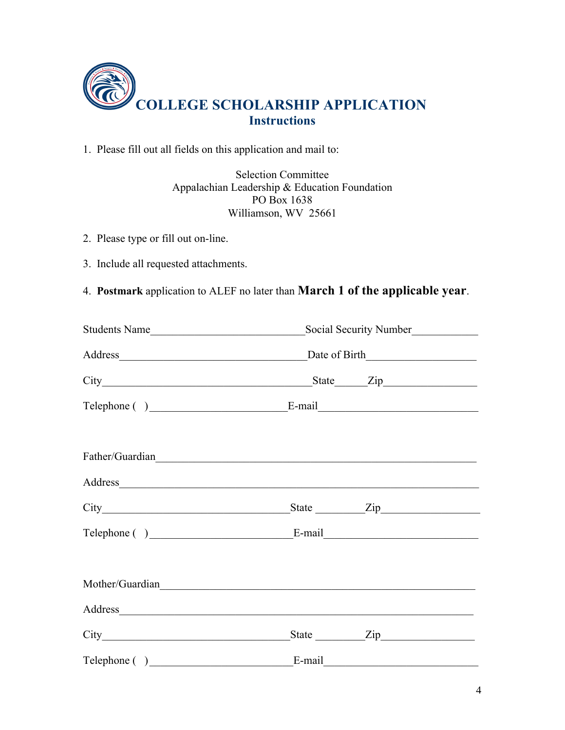

1. Please fill out all fields on this application and mail to:

Selection Committee Appalachian Leadership & Education Foundation PO Box 1638 Williamson, WV 25661

- 2. Please type or fill out on-line.
- 3. Include all requested attachments.
- 4. **Postmark** application to ALEF no later than **March 1 of the applicable year**.

| Students Name                                                                                                                                                                                                                  | Social Security Number |                  |  |
|--------------------------------------------------------------------------------------------------------------------------------------------------------------------------------------------------------------------------------|------------------------|------------------|--|
| Address Date of Birth                                                                                                                                                                                                          |                        |                  |  |
|                                                                                                                                                                                                                                |                        |                  |  |
|                                                                                                                                                                                                                                |                        |                  |  |
| Father/Guardian                                                                                                                                                                                                                |                        |                  |  |
| Address and the contract of the contract of the contract of the contract of the contract of the contract of the contract of the contract of the contract of the contract of the contract of the contract of the contract of th |                        |                  |  |
|                                                                                                                                                                                                                                |                        | State <u>Zip</u> |  |
|                                                                                                                                                                                                                                |                        |                  |  |
|                                                                                                                                                                                                                                |                        |                  |  |
| Address and the contract of the contract of the contract of the contract of the contract of the contract of the contract of the contract of the contract of the contract of the contract of the contract of the contract of th |                        |                  |  |
|                                                                                                                                                                                                                                |                        |                  |  |
|                                                                                                                                                                                                                                |                        |                  |  |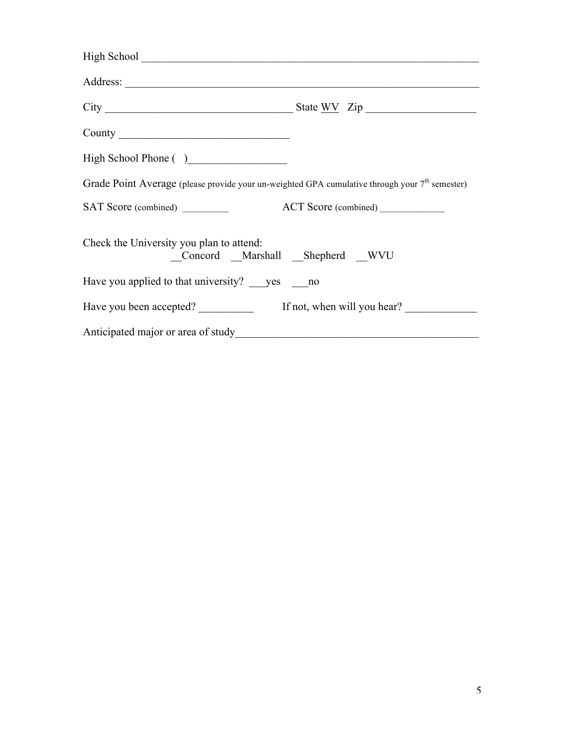| County                                                                                           |  |
|--------------------------------------------------------------------------------------------------|--|
| High School Phone ()                                                                             |  |
| Grade Point Average (please provide your un-weighted GPA cumulative through your $7th$ semester) |  |
|                                                                                                  |  |
| Check the University you plan to attend:<br>Concord Marshall Shepherd WVU                        |  |
| Have you applied to that university? yes no                                                      |  |
| Have you been accepted? If not, when will you hear?                                              |  |
|                                                                                                  |  |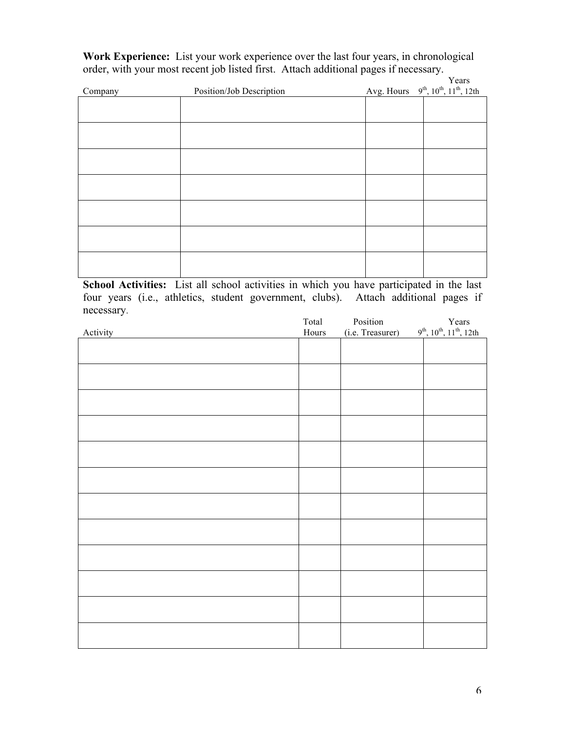**Work Experience:** List your work experience over the last four years, in chronological order, with your most recent job listed first. Attach additional pages if necessary.

|         |                          | Years                                              |
|---------|--------------------------|----------------------------------------------------|
| Company | Position/Job Description | Avg. Hours $9^{th}$ , $10^{th}$ , $11^{th}$ , 12th |
|         |                          |                                                    |
|         |                          |                                                    |
|         |                          |                                                    |
|         |                          |                                                    |
|         |                          |                                                    |
|         |                          |                                                    |
|         |                          |                                                    |
|         |                          |                                                    |
|         |                          |                                                    |
|         |                          |                                                    |
|         |                          |                                                    |
|         |                          |                                                    |
|         |                          |                                                    |
|         |                          |                                                    |

**School Activities:** List all school activities in which you have participated in the last four years (i.e., athletics, student government, clubs). Attach additional pages if necessary.

| Years<br>9 <sup>th</sup> , 10 <sup>th</sup> , 11 <sup>th</sup> , 12th<br>Activity<br>(i.e. Treasurer)<br>Hours | Total | Position |  |
|----------------------------------------------------------------------------------------------------------------|-------|----------|--|
|                                                                                                                |       |          |  |
|                                                                                                                |       |          |  |
|                                                                                                                |       |          |  |
|                                                                                                                |       |          |  |
|                                                                                                                |       |          |  |
|                                                                                                                |       |          |  |
|                                                                                                                |       |          |  |
|                                                                                                                |       |          |  |
|                                                                                                                |       |          |  |
|                                                                                                                |       |          |  |
|                                                                                                                |       |          |  |
|                                                                                                                |       |          |  |
|                                                                                                                |       |          |  |
|                                                                                                                |       |          |  |
|                                                                                                                |       |          |  |
|                                                                                                                |       |          |  |
|                                                                                                                |       |          |  |
|                                                                                                                |       |          |  |
|                                                                                                                |       |          |  |
|                                                                                                                |       |          |  |
|                                                                                                                |       |          |  |
|                                                                                                                |       |          |  |
|                                                                                                                |       |          |  |
|                                                                                                                |       |          |  |
|                                                                                                                |       |          |  |
|                                                                                                                |       |          |  |
|                                                                                                                |       |          |  |
|                                                                                                                |       |          |  |
|                                                                                                                |       |          |  |
|                                                                                                                |       |          |  |
|                                                                                                                |       |          |  |
|                                                                                                                |       |          |  |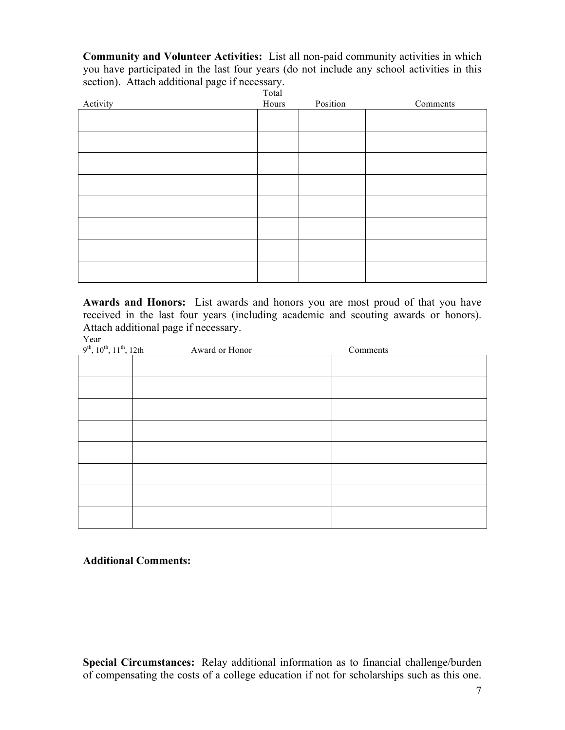**Community and Volunteer Activities:** List all non-paid community activities in which you have participated in the last four years (do not include any school activities in this section). Attach additional page if necessary.

| Activity | 1 otal<br>Hours | Position | Comments |
|----------|-----------------|----------|----------|
|          |                 |          |          |
|          |                 |          |          |
|          |                 |          |          |
|          |                 |          |          |
|          |                 |          |          |
|          |                 |          |          |
|          |                 |          |          |
|          |                 |          |          |
|          |                 |          |          |
|          |                 |          |          |

**Awards and Honors:** List awards and honors you are most proud of that you have received in the last four years (including academic and scouting awards or honors). Attach additional page if necessary.

Year

| $9^{th}$ , $10^{th}$ , $11^{th}$ , $12th$ | Award or Honor | Comments |
|-------------------------------------------|----------------|----------|
|                                           |                |          |
|                                           |                |          |
|                                           |                |          |
|                                           |                |          |
|                                           |                |          |
|                                           |                |          |
|                                           |                |          |
|                                           |                |          |

#### **Additional Comments:**

**Special Circumstances:** Relay additional information as to financial challenge/burden of compensating the costs of a college education if not for scholarships such as this one.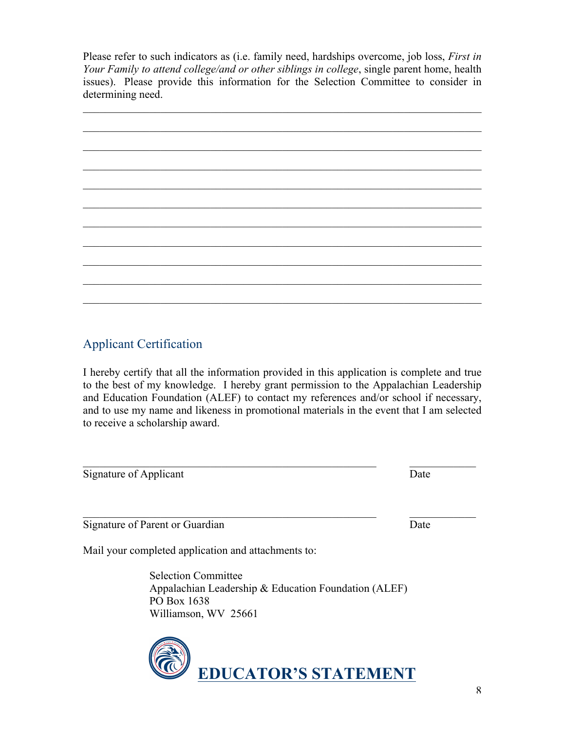Please refer to such indicators as (i.e. family need, hardships overcome, job loss, *First in Your Family to attend college/and or other siblings in college*, single parent home, health issues). Please provide this information for the Selection Committee to consider in determining need.



# Applicant Certification

I hereby certify that all the information provided in this application is complete and true to the best of my knowledge. I hereby grant permission to the Appalachian Leadership and Education Foundation (ALEF) to contact my references and/or school if necessary, and to use my name and likeness in promotional materials in the event that I am selected to receive a scholarship award.

 $\mathcal{L}_\text{max} = \mathcal{L}_\text{max} = \mathcal{L}_\text{max} = \mathcal{L}_\text{max} = \mathcal{L}_\text{max} = \mathcal{L}_\text{max} = \mathcal{L}_\text{max} = \mathcal{L}_\text{max} = \mathcal{L}_\text{max} = \mathcal{L}_\text{max} = \mathcal{L}_\text{max} = \mathcal{L}_\text{max} = \mathcal{L}_\text{max} = \mathcal{L}_\text{max} = \mathcal{L}_\text{max} = \mathcal{L}_\text{max} = \mathcal{L}_\text{max} = \mathcal{L}_\text{max} = \mathcal{$ 

 $\mathcal{L}_\text{max}$  , and the contribution of the contribution of the contribution of the contribution of the contribution of the contribution of the contribution of the contribution of the contribution of the contribution of t

Signature of Applicant Date

Signature of Parent or Guardian Date

Mail your completed application and attachments to:

Selection Committee Appalachian Leadership & Education Foundation (ALEF) PO Box 1638 Williamson, WV 25661

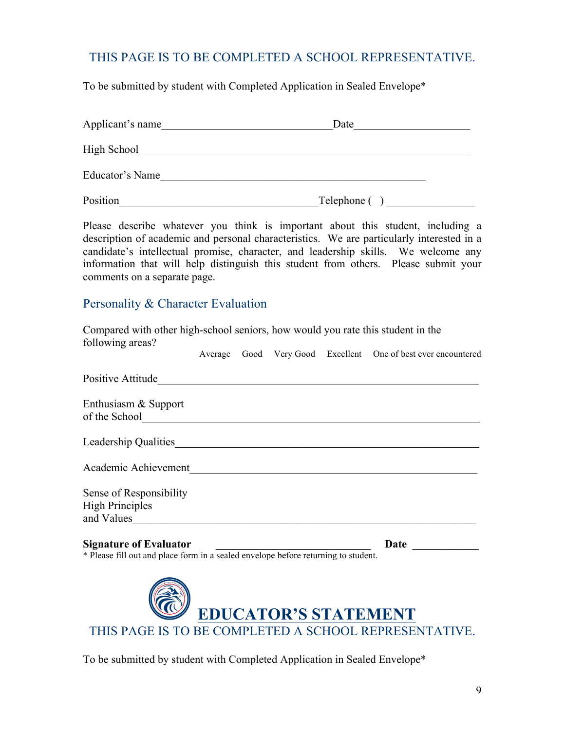## THIS PAGE IS TO BE COMPLETED A SCHOOL REPRESENTATIVE.

To be submitted by student with Completed Application in Sealed Envelope\*

| Applicant's name | Date        |  |
|------------------|-------------|--|
| High School      |             |  |
| Educator's Name  |             |  |
| Position         | Telephone ( |  |

Please describe whatever you think is important about this student, including a description of academic and personal characteristics. We are particularly interested in a candidate's intellectual promise, character, and leadership skills. We welcome any information that will help distinguish this student from others. Please submit your comments on a separate page.

#### Personality & Character Evaluation

Compared with other high-school seniors, how would you rate this student in the following areas? Average Good Very Good Excellent One of best ever encountered

| Positive Attitude                                               |      |
|-----------------------------------------------------------------|------|
| Enthusiasm & Support<br>of the School                           |      |
| Leadership Qualities                                            |      |
| Academic Achievement                                            |      |
| Sense of Responsibility<br><b>High Principles</b><br>and Values |      |
| <b>Signature of Evaluator</b>                                   | Date |

\* Please fill out and place form in a sealed envelope before returning to student.



To be submitted by student with Completed Application in Sealed Envelope\*